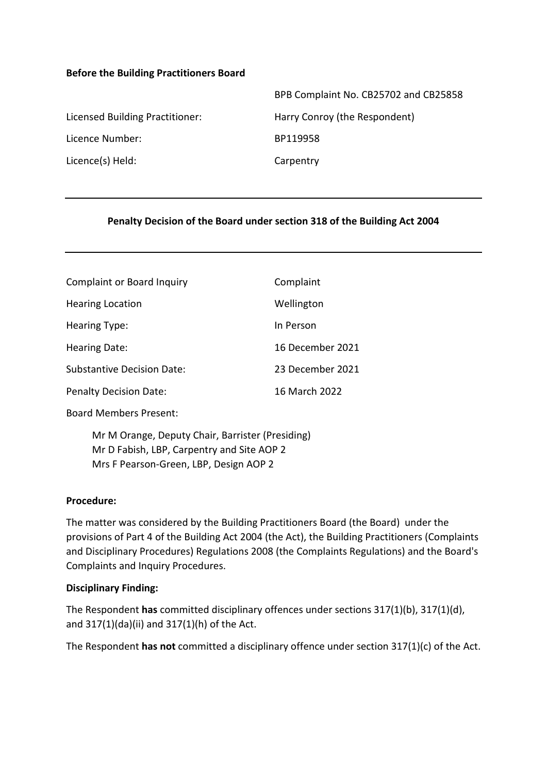#### **Before the Building Practitioners Board**

| BPB Complaint No. CB25702 and CB25858 |
|---------------------------------------|
| Harry Conroy (the Respondent)         |
| BP119958                              |
| Carpentry                             |
|                                       |

#### **Penalty Decision of the Board under section 318 of the Building Act 2004**

| <b>Complaint or Board Inquiry</b> | Complaint        |
|-----------------------------------|------------------|
| <b>Hearing Location</b>           | Wellington       |
| Hearing Type:                     | In Person        |
| <b>Hearing Date:</b>              | 16 December 2021 |
| Substantive Decision Date:        | 23 December 2021 |
| <b>Penalty Decision Date:</b>     | 16 March 2022    |

Board Members Present:

Mr M Orange, Deputy Chair, Barrister (Presiding) Mr D Fabish, LBP, Carpentry and Site AOP 2 Mrs F Pearson-Green, LBP, Design AOP 2

#### **Procedure:**

The matter was considered by the Building Practitioners Board (the Board) under the provisions of Part 4 of the Building Act 2004 (the Act), the Building Practitioners (Complaints and Disciplinary Procedures) Regulations 2008 (the Complaints Regulations) and the Board's Complaints and Inquiry Procedures.

#### **Disciplinary Finding:**

The Respondent **has** committed disciplinary offences under sections 317(1)(b), 317(1)(d), and 317(1)(da)(ii) and 317(1)(h) of the Act.

The Respondent **has not** committed a disciplinary offence under section 317(1)(c) of the Act.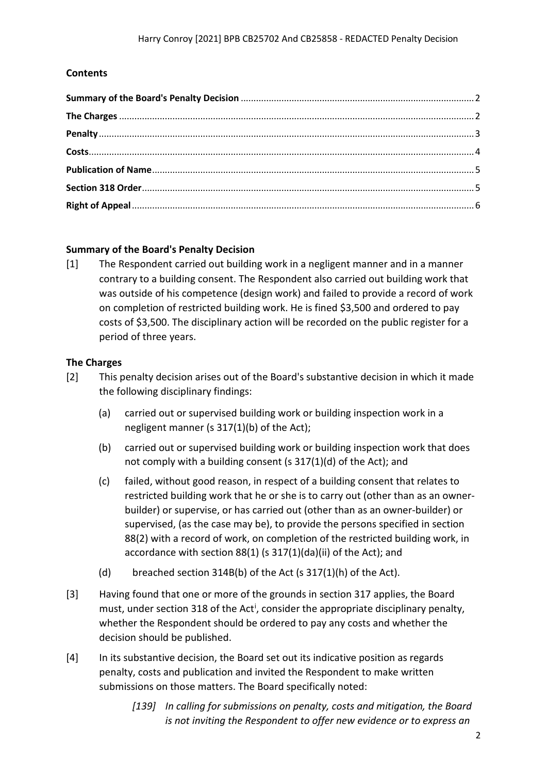### **Contents**

#### <span id="page-1-0"></span>**Summary of the Board's Penalty Decision**

[1] The Respondent carried out building work in a negligent manner and in a manner contrary to a building consent. The Respondent also carried out building work that was outside of his competence (design work) and failed to provide a record of work on completion of restricted building work. He is fined \$3,500 and ordered to pay costs of \$3,500. The disciplinary action will be recorded on the public register for a period of three years.

#### <span id="page-1-1"></span>**The Charges**

- [2] This penalty decision arises out of the Board's substantive decision in which it made the following disciplinary findings:
	- (a) carried out or supervised building work or building inspection work in a negligent manner (s 317(1)(b) of the Act);
	- (b) carried out or supervised building work or building inspection work that does not comply with a building consent (s 317(1)(d) of the Act); and
	- (c) failed, without good reason, in respect of a building consent that relates to restricted building work that he or she is to carry out (other than as an ownerbuilder) or supervise, or has carried out (other than as an owner-builder) or supervised, (as the case may be), to provide the persons specified in section 88(2) with a record of work, on completion of the restricted building work, in accordance with section 88(1) (s 317(1)(da)(ii) of the Act); and
	- (d) breached section 314B(b) of the Act (s 317(1)(h) of the Act).
- [3] Having found that one or more of the grounds in section 317 applies, the Board must, under sect[i](#page-5-1)on 318 of the Act<sup>i</sup>, consider the appropriate disciplinary penalty, whether the Respondent should be ordered to pay any costs and whether the decision should be published.
- [4] In its substantive decision, the Board set out its indicative position as regards penalty, costs and publication and invited the Respondent to make written submissions on those matters. The Board specifically noted:
	- *[139] In calling for submissions on penalty, costs and mitigation, the Board is not inviting the Respondent to offer new evidence or to express an*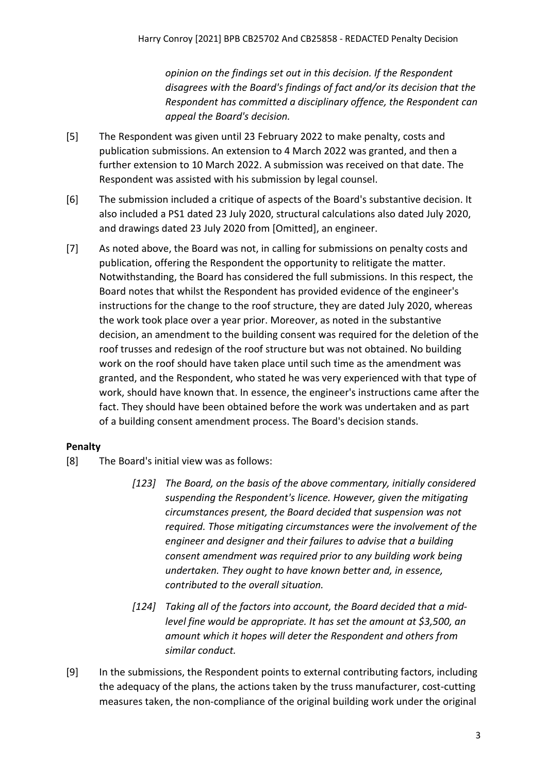*opinion on the findings set out in this decision. If the Respondent disagrees with the Board's findings of fact and/or its decision that the Respondent has committed a disciplinary offence, the Respondent can appeal the Board's decision.*

- [5] The Respondent was given until 23 February 2022 to make penalty, costs and publication submissions. An extension to 4 March 2022 was granted, and then a further extension to 10 March 2022. A submission was received on that date. The Respondent was assisted with his submission by legal counsel.
- [6] The submission included a critique of aspects of the Board's substantive decision. It also included a PS1 dated 23 July 2020, structural calculations also dated July 2020, and drawings dated 23 July 2020 from [Omitted], an engineer.
- [7] As noted above, the Board was not, in calling for submissions on penalty costs and publication, offering the Respondent the opportunity to relitigate the matter. Notwithstanding, the Board has considered the full submissions. In this respect, the Board notes that whilst the Respondent has provided evidence of the engineer's instructions for the change to the roof structure, they are dated July 2020, whereas the work took place over a year prior. Moreover, as noted in the substantive decision, an amendment to the building consent was required for the deletion of the roof trusses and redesign of the roof structure but was not obtained. No building work on the roof should have taken place until such time as the amendment was granted, and the Respondent, who stated he was very experienced with that type of work, should have known that. In essence, the engineer's instructions came after the fact. They should have been obtained before the work was undertaken and as part of a building consent amendment process. The Board's decision stands.

# <span id="page-2-0"></span>**Penalty**

- [8] The Board's initial view was as follows:
	- *[123] The Board, on the basis of the above commentary, initially considered suspending the Respondent's licence. However, given the mitigating circumstances present, the Board decided that suspension was not required. Those mitigating circumstances were the involvement of the engineer and designer and their failures to advise that a building consent amendment was required prior to any building work being undertaken. They ought to have known better and, in essence, contributed to the overall situation.*
	- *[124] Taking all of the factors into account, the Board decided that a midlevel fine would be appropriate. It has set the amount at \$3,500, an amount which it hopes will deter the Respondent and others from similar conduct.*
- [9] In the submissions, the Respondent points to external contributing factors, including the adequacy of the plans, the actions taken by the truss manufacturer, cost-cutting measures taken, the non-compliance of the original building work under the original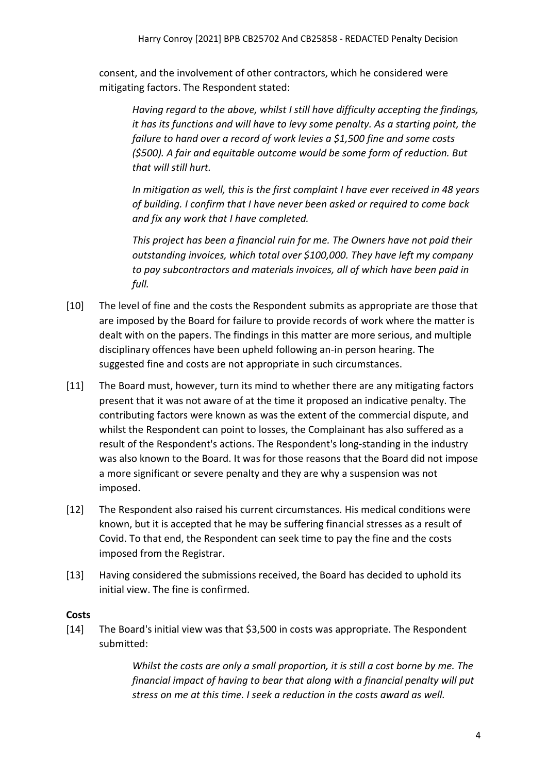consent, and the involvement of other contractors, which he considered were mitigating factors. The Respondent stated:

*Having regard to the above, whilst I still have difficulty accepting the findings, it has its functions and will have to levy some penalty. As a starting point, the failure to hand over a record of work levies a \$1,500 fine and some costs (\$500). A fair and equitable outcome would be some form of reduction. But that will still hurt.*

*In mitigation as well, this is the first complaint I have ever received in 48 years of building. I confirm that I have never been asked or required to come back and fix any work that I have completed.*

*This project has been a financial ruin for me. The Owners have not paid their outstanding invoices, which total over \$100,000. They have left my company to pay subcontractors and materials invoices, all of which have been paid in full.*

- [10] The level of fine and the costs the Respondent submits as appropriate are those that are imposed by the Board for failure to provide records of work where the matter is dealt with on the papers. The findings in this matter are more serious, and multiple disciplinary offences have been upheld following an-in person hearing. The suggested fine and costs are not appropriate in such circumstances.
- [11] The Board must, however, turn its mind to whether there are any mitigating factors present that it was not aware of at the time it proposed an indicative penalty. The contributing factors were known as was the extent of the commercial dispute, and whilst the Respondent can point to losses, the Complainant has also suffered as a result of the Respondent's actions. The Respondent's long-standing in the industry was also known to the Board. It was for those reasons that the Board did not impose a more significant or severe penalty and they are why a suspension was not imposed.
- [12] The Respondent also raised his current circumstances. His medical conditions were known, but it is accepted that he may be suffering financial stresses as a result of Covid. To that end, the Respondent can seek time to pay the fine and the costs imposed from the Registrar.
- [13] Having considered the submissions received, the Board has decided to uphold its initial view. The fine is confirmed.

### <span id="page-3-0"></span>**Costs**

[14] The Board's initial view was that \$3,500 in costs was appropriate. The Respondent submitted:

> *Whilst the costs are only a small proportion, it is still a cost borne by me. The financial impact of having to bear that along with a financial penalty will put stress on me at this time. I seek a reduction in the costs award as well.*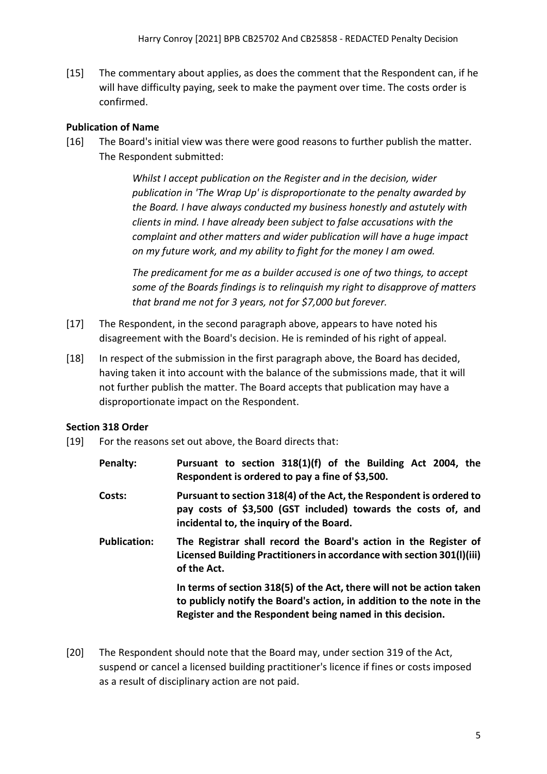[15] The commentary about applies, as does the comment that the Respondent can, if he will have difficulty paying, seek to make the payment over time. The costs order is confirmed.

# <span id="page-4-0"></span>**Publication of Name**

[16] The Board's initial view was there were good reasons to further publish the matter. The Respondent submitted:

> *Whilst I accept publication on the Register and in the decision, wider publication in 'The Wrap Up' is disproportionate to the penalty awarded by the Board. I have always conducted my business honestly and astutely with clients in mind. I have already been subject to false accusations with the complaint and other matters and wider publication will have a huge impact on my future work, and my ability to fight for the money I am owed.*

*The predicament for me as a builder accused is one of two things, to accept some of the Boards findings is to relinquish my right to disapprove of matters that brand me not for 3 years, not for \$7,000 but forever.*

- [17] The Respondent, in the second paragraph above, appears to have noted his disagreement with the Board's decision. He is reminded of his right of appeal.
- [18] In respect of the submission in the first paragraph above, the Board has decided, having taken it into account with the balance of the submissions made, that it will not further publish the matter. The Board accepts that publication may have a disproportionate impact on the Respondent.

### <span id="page-4-1"></span>**Section 318 Order**

- [19] For the reasons set out above, the Board directs that:
	- **Penalty: Pursuant to section 318(1)(f) of the Building Act 2004, the Respondent is ordered to pay a fine of \$3,500.**
	- **Costs: Pursuant to section 318(4) of the Act, the Respondent is ordered to pay costs of \$3,500 (GST included) towards the costs of, and incidental to, the inquiry of the Board.**
	- **Publication: The Registrar shall record the Board's action in the Register of Licensed Building Practitioners in accordance with section 301(l)(iii) of the Act.**

**In terms of section 318(5) of the Act, there will not be action taken to publicly notify the Board's action, in addition to the note in the Register and the Respondent being named in this decision.**

[20] The Respondent should note that the Board may, under section 319 of the Act, suspend or cancel a licensed building practitioner's licence if fines or costs imposed as a result of disciplinary action are not paid.